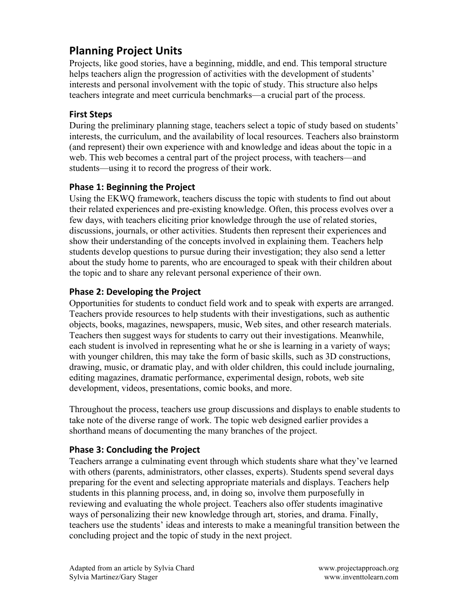# **Planning Project Units**

Projects, like good stories, have a beginning, middle, and end. This temporal structure helps teachers align the progression of activities with the development of students' interests and personal involvement with the topic of study. This structure also helps teachers integrate and meet curricula benchmarks—a crucial part of the process.

#### **First Steps**

During the preliminary planning stage, teachers select a topic of study based on students' interests, the curriculum, and the availability of local resources. Teachers also brainstorm (and represent) their own experience with and knowledge and ideas about the topic in a web. This web becomes a central part of the project process, with teachers—and students—using it to record the progress of their work.

### **Phase 1: Beginning the Project**

Using the EKWQ framework, teachers discuss the topic with students to find out about their related experiences and pre-existing knowledge. Often, this process evolves over a few days, with teachers eliciting prior knowledge through the use of related stories, discussions, journals, or other activities. Students then represent their experiences and show their understanding of the concepts involved in explaining them. Teachers help students develop questions to pursue during their investigation; they also send a letter about the study home to parents, who are encouraged to speak with their children about the topic and to share any relevant personal experience of their own.

### **Phase 2: Developing the Project**

Opportunities for students to conduct field work and to speak with experts are arranged. Teachers provide resources to help students with their investigations, such as authentic objects, books, magazines, newspapers, music, Web sites, and other research materials. Teachers then suggest ways for students to carry out their investigations. Meanwhile, each student is involved in representing what he or she is learning in a variety of ways; with younger children, this may take the form of basic skills, such as 3D constructions, drawing, music, or dramatic play, and with older children, this could include journaling, editing magazines, dramatic performance, experimental design, robots, web site development, videos, presentations, comic books, and more.

Throughout the process, teachers use group discussions and displays to enable students to take note of the diverse range of work. The topic web designed earlier provides a shorthand means of documenting the many branches of the project.

### **Phase 3: Concluding the Project**

Teachers arrange a culminating event through which students share what they've learned with others (parents, administrators, other classes, experts). Students spend several days preparing for the event and selecting appropriate materials and displays. Teachers help students in this planning process, and, in doing so, involve them purposefully in reviewing and evaluating the whole project. Teachers also offer students imaginative ways of personalizing their new knowledge through art, stories, and drama. Finally, teachers use the students' ideas and interests to make a meaningful transition between the concluding project and the topic of study in the next project.